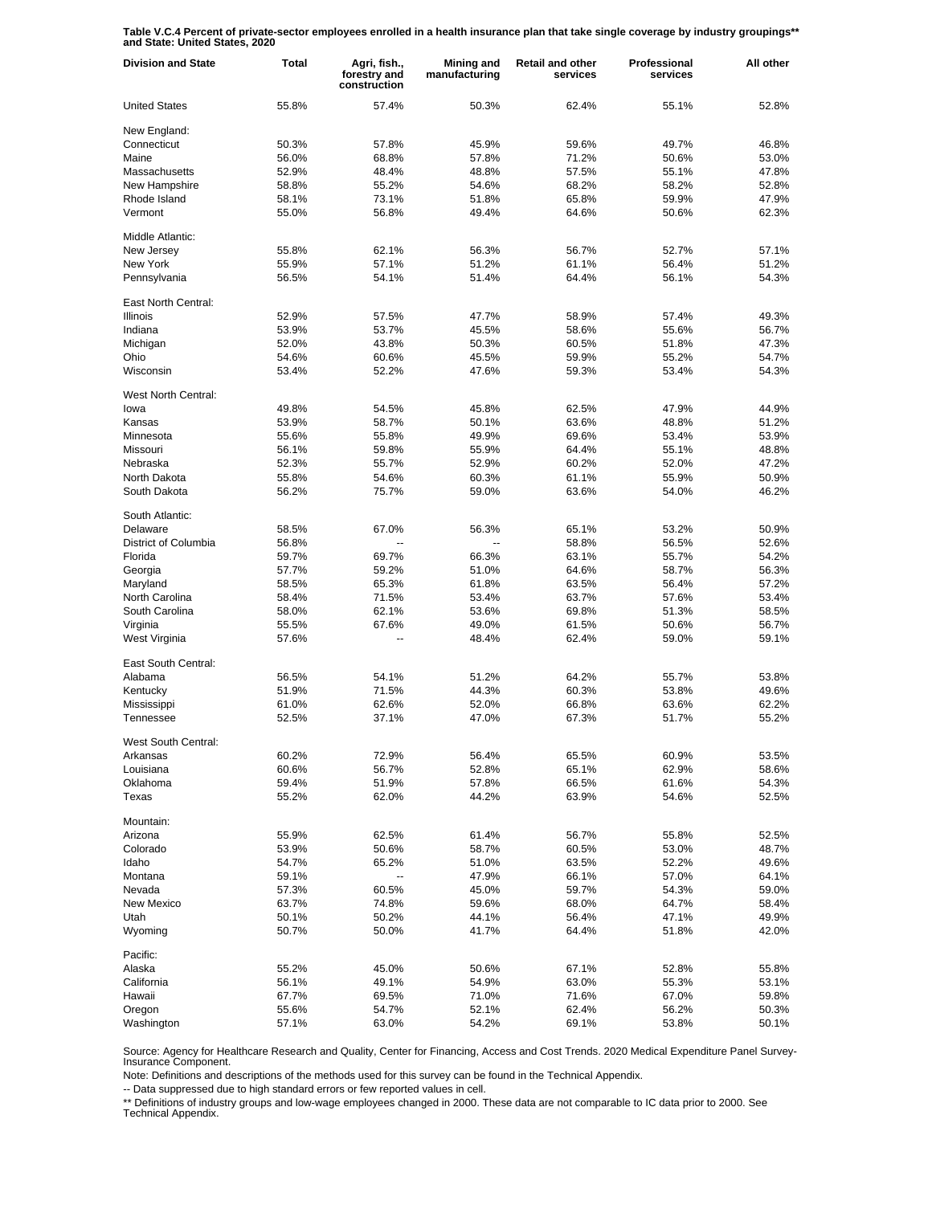**Table V.C.4 Percent of private-sector employees enrolled in a health insurance plan that take single coverage by industry groupings\*\* and State: United States, 2020**

| <b>Division and State</b> | Total          | Agri, fish.,<br>forestry and<br>construction | Mining and<br>manufacturing | <b>Retail and other</b><br>services | Professional<br>services | All other      |
|---------------------------|----------------|----------------------------------------------|-----------------------------|-------------------------------------|--------------------------|----------------|
| <b>United States</b>      | 55.8%          | 57.4%                                        | 50.3%                       | 62.4%                               | 55.1%                    | 52.8%          |
| New England:              |                |                                              |                             |                                     |                          |                |
| Connecticut               | 50.3%          | 57.8%                                        | 45.9%                       | 59.6%                               | 49.7%                    | 46.8%          |
| Maine                     | 56.0%          | 68.8%                                        | 57.8%                       | 71.2%                               | 50.6%                    | 53.0%          |
| Massachusetts             | 52.9%          | 48.4%                                        | 48.8%                       | 57.5%                               | 55.1%                    | 47.8%          |
| New Hampshire             | 58.8%          | 55.2%                                        | 54.6%                       | 68.2%                               | 58.2%                    | 52.8%          |
| Rhode Island              | 58.1%          | 73.1%                                        | 51.8%                       | 65.8%                               | 59.9%                    | 47.9%          |
| Vermont                   | 55.0%          | 56.8%                                        | 49.4%                       | 64.6%                               | 50.6%                    | 62.3%          |
| Middle Atlantic:          |                |                                              |                             |                                     |                          |                |
| New Jersey                | 55.8%          | 62.1%                                        | 56.3%                       | 56.7%                               | 52.7%                    | 57.1%          |
| New York                  | 55.9%          | 57.1%                                        | 51.2%                       | 61.1%                               | 56.4%                    | 51.2%          |
| Pennsylvania              | 56.5%          | 54.1%                                        | 51.4%                       | 64.4%                               | 56.1%                    | 54.3%          |
| East North Central:       |                |                                              |                             |                                     |                          |                |
| <b>Illinois</b>           | 52.9%          | 57.5%                                        | 47.7%                       | 58.9%                               | 57.4%                    | 49.3%          |
| Indiana                   | 53.9%          | 53.7%                                        | 45.5%                       | 58.6%                               | 55.6%                    | 56.7%          |
| Michigan                  | 52.0%          | 43.8%                                        | 50.3%                       | 60.5%                               | 51.8%                    | 47.3%          |
| Ohio                      | 54.6%          | 60.6%                                        | 45.5%                       | 59.9%                               | 55.2%                    | 54.7%          |
| Wisconsin                 | 53.4%          | 52.2%                                        | 47.6%                       | 59.3%                               | 53.4%                    | 54.3%          |
| West North Central:       |                |                                              |                             |                                     |                          |                |
| lowa                      | 49.8%          | 54.5%                                        | 45.8%                       | 62.5%                               | 47.9%                    | 44.9%          |
| Kansas                    | 53.9%          | 58.7%                                        | 50.1%                       | 63.6%                               | 48.8%                    | 51.2%          |
| Minnesota                 | 55.6%          | 55.8%                                        | 49.9%                       | 69.6%                               | 53.4%                    | 53.9%          |
| Missouri                  | 56.1%          | 59.8%                                        | 55.9%                       | 64.4%                               | 55.1%                    | 48.8%          |
| Nebraska                  | 52.3%          | 55.7%                                        | 52.9%                       | 60.2%                               | 52.0%                    | 47.2%          |
| North Dakota              | 55.8%          | 54.6%                                        | 60.3%                       | 61.1%                               | 55.9%                    | 50.9%          |
| South Dakota              | 56.2%          | 75.7%                                        | 59.0%                       | 63.6%                               | 54.0%                    | 46.2%          |
| South Atlantic:           |                |                                              |                             |                                     |                          |                |
| Delaware                  | 58.5%          | 67.0%                                        | 56.3%                       | 65.1%                               | 53.2%                    | 50.9%          |
| District of Columbia      | 56.8%          |                                              |                             | 58.8%                               | 56.5%                    | 52.6%          |
| Florida                   | 59.7%          | 69.7%                                        | 66.3%                       | 63.1%                               | 55.7%                    | 54.2%          |
| Georgia                   | 57.7%          | 59.2%                                        | 51.0%                       | 64.6%                               | 58.7%                    | 56.3%          |
| Maryland                  | 58.5%          | 65.3%                                        | 61.8%                       | 63.5%                               | 56.4%                    | 57.2%          |
| North Carolina            | 58.4%          | 71.5%                                        | 53.4%                       | 63.7%                               | 57.6%                    | 53.4%          |
| South Carolina            | 58.0%          | 62.1%                                        | 53.6%                       | 69.8%                               | 51.3%                    | 58.5%          |
| Virginia                  | 55.5%          | 67.6%                                        | 49.0%                       | 61.5%                               | 50.6%                    | 56.7%          |
| West Virginia             | 57.6%          |                                              | 48.4%                       | 62.4%                               | 59.0%                    | 59.1%          |
| East South Central:       |                |                                              |                             |                                     |                          |                |
| Alabama                   | 56.5%          | 54.1%                                        | 51.2%                       | 64.2%                               | 55.7%                    | 53.8%          |
| Kentucky                  | 51.9%          | 71.5%                                        | 44.3%                       | 60.3%                               | 53.8%                    | 49.6%          |
| Mississippi               | 61.0%          | 62.6%                                        | 52.0%                       | 66.8%                               | 63.6%                    | 62.2%          |
| Tennessee                 | 52.5%          | 37.1%                                        | 47.0%                       | 67.3%                               | 51.7%                    | 55.2%          |
|                           |                |                                              |                             |                                     |                          |                |
| West South Central:       |                |                                              |                             |                                     |                          |                |
| Arkansas                  | 60.2%          | 72.9%                                        | 56.4%                       | 65.5%                               | 60.9%                    | 53.5%          |
| Louisiana                 | 60.6%          | 56.7%                                        | 52.8%                       | 65.1%                               | 62.9%                    | 58.6%          |
| Oklahoma<br>Texas         | 59.4%<br>55.2% | 51.9%<br>62.0%                               | 57.8%<br>44.2%              | 66.5%<br>63.9%                      | 61.6%<br>54.6%           | 54.3%<br>52.5% |
|                           |                |                                              |                             |                                     |                          |                |
| Mountain:                 |                |                                              |                             |                                     |                          |                |
| Arizona                   | 55.9%          | 62.5%                                        | 61.4%                       | 56.7%                               | 55.8%                    | 52.5%          |
| Colorado                  | 53.9%          | 50.6%                                        | 58.7%                       | 60.5%                               | 53.0%                    | 48.7%          |
| Idaho                     | 54.7%          | 65.2%                                        | 51.0%                       | 63.5%                               | 52.2%                    | 49.6%          |
| Montana                   | 59.1%          |                                              | 47.9%                       | 66.1%                               | 57.0%                    | 64.1%          |
| Nevada                    | 57.3%          | 60.5%                                        | 45.0%                       | 59.7%                               | 54.3%                    | 59.0%          |
| New Mexico                | 63.7%          | 74.8%                                        | 59.6%                       | 68.0%                               | 64.7%                    | 58.4%          |
| Utah                      | 50.1%          | 50.2%                                        | 44.1%                       | 56.4%                               | 47.1%                    | 49.9%          |
| Wyoming                   | 50.7%          | 50.0%                                        | 41.7%                       | 64.4%                               | 51.8%                    | 42.0%          |
| Pacific:                  |                |                                              |                             |                                     |                          |                |
| Alaska                    | 55.2%          | 45.0%                                        | 50.6%                       | 67.1%                               | 52.8%                    | 55.8%          |
| California                | 56.1%          | 49.1%                                        | 54.9%                       | 63.0%                               | 55.3%                    | 53.1%          |
| Hawaii                    | 67.7%          | 69.5%                                        | 71.0%                       | 71.6%                               | 67.0%                    | 59.8%          |
| Oregon                    | 55.6%          | 54.7%                                        | 52.1%                       | 62.4%                               | 56.2%                    | 50.3%          |
| Washington                | 57.1%          | 63.0%                                        | 54.2%                       | 69.1%                               | 53.8%                    | 50.1%          |

Source: Agency for Healthcare Research and Quality, Center for Financing, Access and Cost Trends. 2020 Medical Expenditure Panel Survey-Insurance Component.

Note: Definitions and descriptions of the methods used for this survey can be found in the Technical Appendix.

-- Data suppressed due to high standard errors or few reported values in cell.

\*\* Definitions of industry groups and low-wage employees changed in 2000. These data are not comparable to IC data prior to 2000. See Technical Appendix.